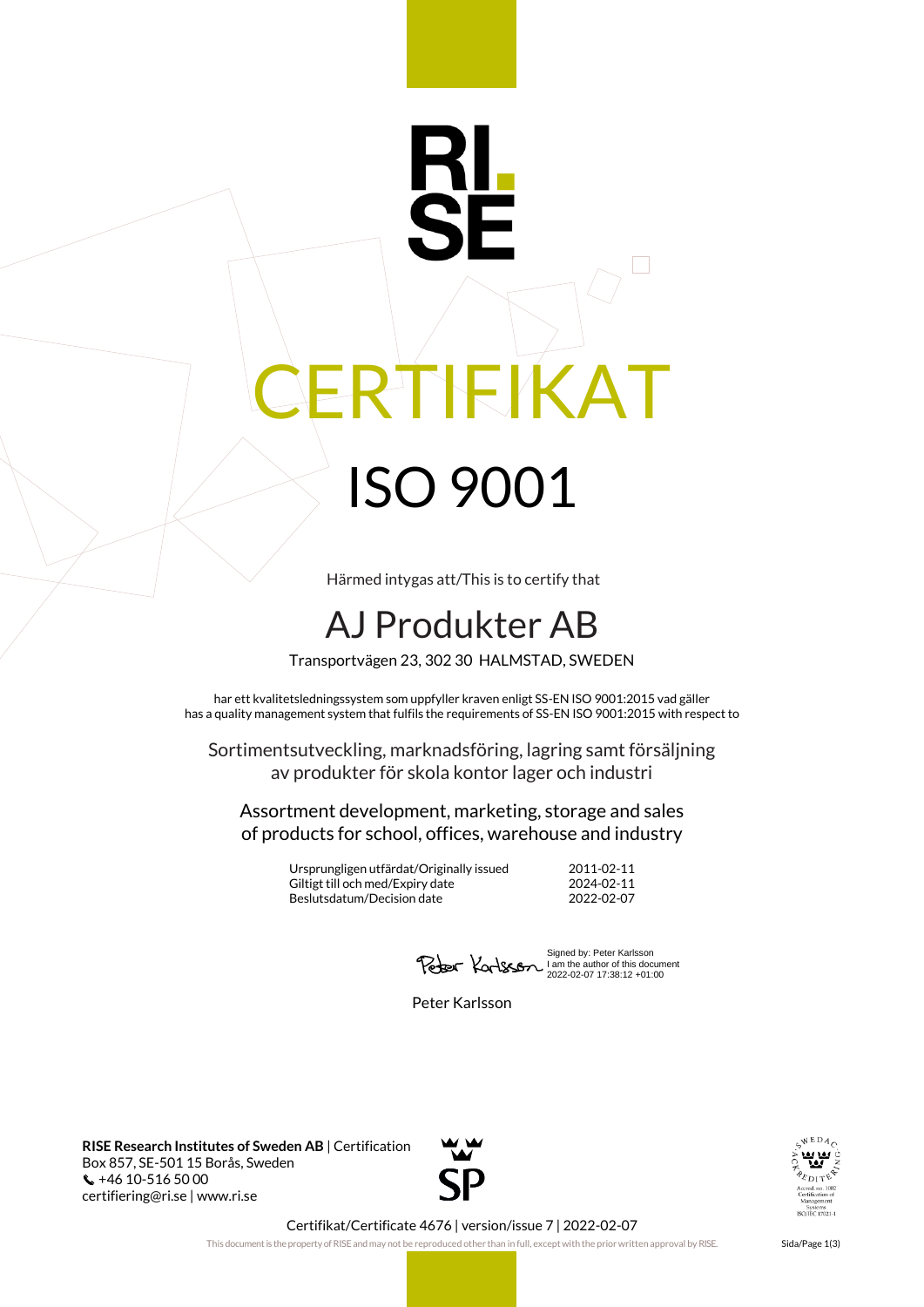# RI IEIKAT ISO 9001

Härmed intygas att/This is to certify that

## AJ Produkter AB

Transportvägen 23, 302 30 HALMSTAD, SWEDEN

har ett kvalitetsledningssystem som uppfyller kraven enligt SS-EN ISO 9001:2015 vad gäller has a quality management system that fulfils the requirements of SS-EN ISO 9001:2015 with respect to

Sortimentsutveckling, marknadsföring, lagring samt försäljning av produkter för skola kontor lager och industri

Assortment development, marketing, storage and sales of products for school, offices, warehouse and industry

> Ursprungligen utfärdat/Originally issued 2011-02-11 Giltigt till och med/Expiry date 2024-02-11<br>Beslutsdatum/Decision date 2022-02-07 Beslutsdatum/Decision date

Signed by: Peter Karlsson I am the author of this document 2022-02-07 17:38:12 +01:00

Peter Karlsson

**RISE Research Institutes of Sweden AB** | Certification Box 857, SE-501 15 Borås, Sweden +46 10-516 50 00 certifiering@ri.se | www.ri.se





Certifikat/Certificate 4676 | version/issue 7 | 2022-02-07

This document is the property of RISE and may not be reproduced other than in full, except with the prior written approval by RISE. Sida/Page 1(3)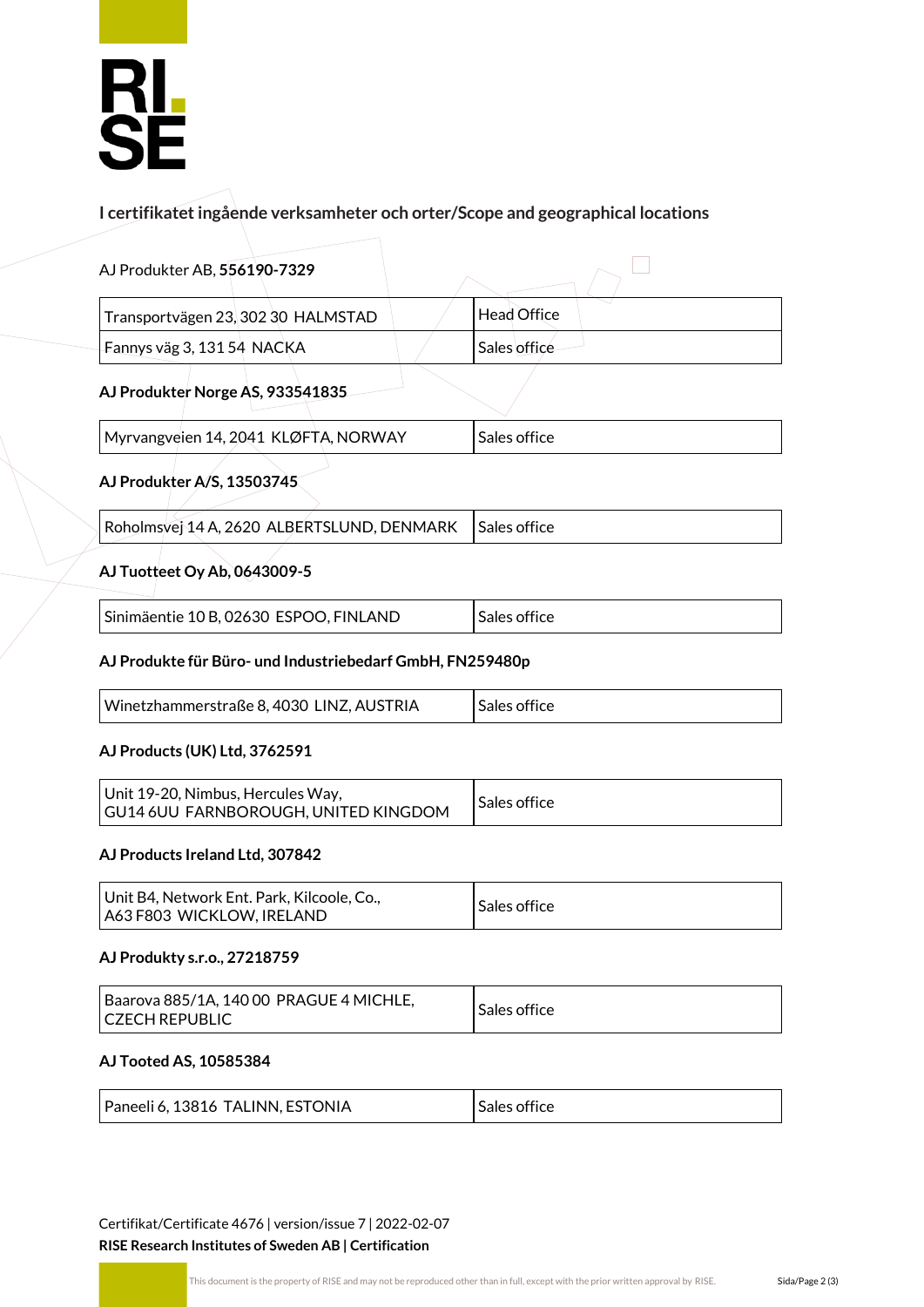# **RL<br>SE**

### **I certifikatet ingående verksamheter och orter/Scope and geographical locations**

| AJ Produkter AB, 556190-7329                              |  |                    |  |  |
|-----------------------------------------------------------|--|--------------------|--|--|
| Transportvägen 23, 302 30 HALMSTAD                        |  | <b>Head Office</b> |  |  |
| Fannys väg 3, 131 54 NACKA                                |  | Sales office       |  |  |
| AJ Produkter Norge AS, 933541835                          |  |                    |  |  |
| Myrvangveien 14, 2041 KLØFTA, NORWAY                      |  | Sales office       |  |  |
| AJ Produkter A/S, 13503745                                |  |                    |  |  |
| Roholmsvej 14 A, 2620 ALBERTSLUND, DENMARK                |  | Sales office       |  |  |
| AJ Tuotteet Oy Ab, 0643009-5                              |  |                    |  |  |
| Sinimäentie 10 B, 02630 ESPOO, FINLAND                    |  | Sales office       |  |  |
| AJ Produkte für Büro- und Industriebedarf GmbH, FN259480p |  |                    |  |  |
| Winetzhammerstraße 8, 4030 LINZ, AUSTRIA                  |  | Sales office       |  |  |
|                                                           |  |                    |  |  |

#### **AJ Products (UK) Ltd, 3762591**

| Unit 19-20, Nimbus, Hercules Way,<br>GU14 6UU FARNBOROUGH, UNITED KINGDOM | Sales office |
|---------------------------------------------------------------------------|--------------|
|---------------------------------------------------------------------------|--------------|

#### **AJ Products Ireland Ltd, 307842**

| Unit B4, Network Ent. Park, Kilcoole, Co.,<br>A63 F803 WICKLOW, IRELAND | Sales office |
|-------------------------------------------------------------------------|--------------|
|-------------------------------------------------------------------------|--------------|

#### **AJ Produkty s.r.o., 27218759**

| Baarova 885/1A, 140 00 PRAGUE 4 MICHLE,<br>I CZECH REPUBLIC | Sales office |
|-------------------------------------------------------------|--------------|
|-------------------------------------------------------------|--------------|

#### **AJ Tooted AS, 10585384**

| Paneeli 6, 13816 TALINN, ESTONIA | Sales office |
|----------------------------------|--------------|
|----------------------------------|--------------|

Certifikat/Certificate 4676 | version/issue 7 | 2022-02-07 **RISE Research Institutes of Sweden AB | Certification**